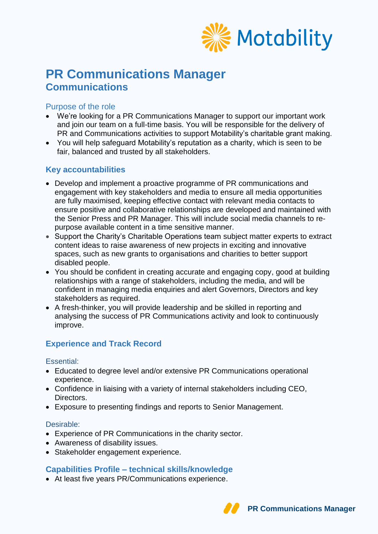

# **PR Communications Manager Communications**

# Purpose of the role

- We're looking for a PR Communications Manager to support our important work and join our team on a full-time basis. You will be responsible for the delivery of PR and Communications activities to support Motability's charitable grant making.
- You will help safeguard Motability's reputation as a charity, which is seen to be fair, balanced and trusted by all stakeholders.

# **Key accountabilities**

- Develop and implement a proactive programme of PR communications and engagement with key stakeholders and media to ensure all media opportunities are fully maximised, keeping effective contact with relevant media contacts to ensure positive and collaborative relationships are developed and maintained with the Senior Press and PR Manager. This will include social media channels to repurpose available content in a time sensitive manner.
- Support the Charity's Charitable Operations team subject matter experts to extract content ideas to raise awareness of new projects in exciting and innovative spaces, such as new grants to organisations and charities to better support disabled people.
- You should be confident in creating accurate and engaging copy, good at building relationships with a range of stakeholders, including the media, and will be confident in managing media enquiries and alert Governors, Directors and key stakeholders as required.
- A fresh-thinker, you will provide leadership and be skilled in reporting and analysing the success of PR Communications activity and look to continuously improve.

# **Experience and Track Record**

Essential:

- Educated to degree level and/or extensive PR Communications operational experience.
- Confidence in liaising with a variety of internal stakeholders including CEO, Directors.
- Exposure to presenting findings and reports to Senior Management.

#### Desirable:

- Experience of PR Communications in the charity sector.
- Awareness of disability issues.
- Stakeholder engagement experience.

## **Capabilities Profile – technical skills/knowledge**

At least five years PR/Communications experience.